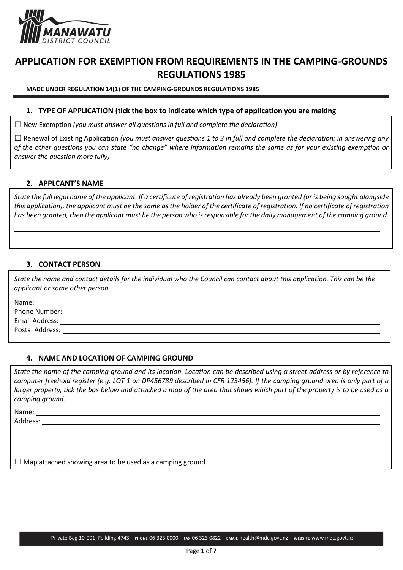

# **APPLICATION FOR EXEMPTION FROM REQUIREMENTS IN THE CAMPING-GROUNDS REGULATIONS 1985**

**MADE UNDER REGULATION 14(1) OF THE CAMPING-GROUNDS REGULATIONS 1985**

### **1. TYPE OF APPLICATION (tick the box to indicate which type of application you are making**

☐ New Exemption *(you must answer all questions in full and complete the declaration)*

☐ Renewal of Existing Application *(you must answer questions 1 to 3 in full and complete the declaration; in answering any of the other questions you can state "no change" where information remains the same as for your existing exemption or answer the question more fully)*

### **2. APPLCANT'S NAME**

*State the full legal name of the applicant. If a certificate of registration has already been granted (or is being sought alongside this application), the applicant must be the same as the holder of the certificate of registration. If no certificate of registration has been granted, then the applicant must be the person who is responsible for the daily management of the camping ground.* 

# **3. CONTACT PERSON**

*State the name and contact details for the individual who the Council can contact about this application. This can be the applicant or some other person.*

Name:

Phone Number: Email Address: Postal Address:

#### **4. NAME AND LOCATION OF CAMPING GROUND**

*State the name of the camping ground and its location. Location can be described using a street address or by reference to computer freehold register (e.g. LOT 1 on DP456789 described in CFR 123456). If the camping ground area is only part of a larger property, tick the box below and attached a map of the area that shows which part of the property is to be used as a camping ground.*

Name:

Address:

 $\Box$  Map attached showing area to be used as a camping ground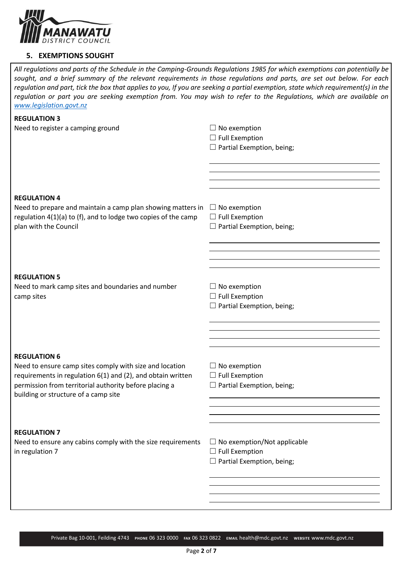

### **5. EXEMPTIONS SOUGHT**

*All regulations and parts of the Schedule in the Camping-Grounds Regulations 1985 for which exemptions can potentially be sought, and a brief summary of the relevant requirements in those regulations and parts, are set out below. For each regulation and part, tick the box that applies to you, If you are seeking a partial exemption, state which requirement(s) in the regulation or part you are seeking exemption from. You may wish to refer to the Regulations, which are available on [www.legislation.govt.nz](http://www.legislation.govt.nz/)*

| <b>REGULATION 3</b>                                              |                                    |
|------------------------------------------------------------------|------------------------------------|
| Need to register a camping ground                                | $\Box$ No exemption                |
|                                                                  | $\Box$ Full Exemption              |
|                                                                  | $\Box$ Partial Exemption, being;   |
|                                                                  |                                    |
|                                                                  |                                    |
|                                                                  |                                    |
|                                                                  |                                    |
|                                                                  |                                    |
| <b>REGULATION 4</b>                                              |                                    |
| Need to prepare and maintain a camp plan showing matters in      | $\Box$ No exemption                |
| regulation $4(1)(a)$ to (f), and to lodge two copies of the camp | $\Box$ Full Exemption              |
| plan with the Council                                            | $\Box$ Partial Exemption, being;   |
|                                                                  |                                    |
|                                                                  |                                    |
|                                                                  |                                    |
|                                                                  |                                    |
| <b>REGULATION 5</b>                                              |                                    |
|                                                                  |                                    |
| Need to mark camp sites and boundaries and number                | $\Box$ No exemption                |
| camp sites                                                       | $\Box$ Full Exemption              |
|                                                                  | $\Box$ Partial Exemption, being;   |
|                                                                  |                                    |
|                                                                  |                                    |
|                                                                  |                                    |
|                                                                  |                                    |
| <b>REGULATION 6</b>                                              |                                    |
| Need to ensure camp sites comply with size and location          | $\Box$ No exemption                |
| requirements in regulation 6(1) and (2), and obtain written      | $\Box$ Full Exemption              |
| permission from territorial authority before placing a           | $\Box$ Partial Exemption, being;   |
| building or structure of a camp site                             |                                    |
|                                                                  |                                    |
|                                                                  |                                    |
|                                                                  |                                    |
| <b>REGULATION 7</b>                                              |                                    |
| Need to ensure any cabins comply with the size requirements      | $\Box$ No exemption/Not applicable |
|                                                                  |                                    |
| in regulation 7                                                  | $\Box$ Full Exemption              |
|                                                                  | $\Box$ Partial Exemption, being;   |
|                                                                  |                                    |
|                                                                  |                                    |
|                                                                  |                                    |
|                                                                  |                                    |
|                                                                  |                                    |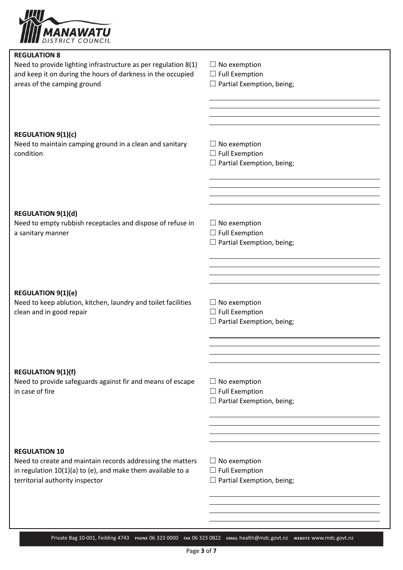

| <b>REGULATION 8</b>                                                                        |                                                                |
|--------------------------------------------------------------------------------------------|----------------------------------------------------------------|
| Need to provide lighting infrastructure as per regulation 8(1)                             | $\Box$ No exemption                                            |
| and keep it on during the hours of darkness in the occupied                                | $\Box$ Full Exemption                                          |
| areas of the camping ground                                                                | $\Box$ Partial Exemption, being;                               |
|                                                                                            |                                                                |
|                                                                                            |                                                                |
|                                                                                            | <u> 1989 - Andrea Barbara, Amerikaansk politiker (d. 1989)</u> |
|                                                                                            |                                                                |
| <b>REGULATION 9(1)(c)</b>                                                                  |                                                                |
| Need to maintain camping ground in a clean and sanitary                                    | $\Box$ No exemption                                            |
| condition                                                                                  | $\Box$ Full Exemption                                          |
|                                                                                            | $\Box$ Partial Exemption, being;                               |
|                                                                                            |                                                                |
|                                                                                            |                                                                |
|                                                                                            |                                                                |
|                                                                                            |                                                                |
| <b>REGULATION 9(1)(d)</b>                                                                  |                                                                |
| Need to empty rubbish receptacles and dispose of refuse in                                 | $\Box$ No exemption                                            |
| a sanitary manner                                                                          | $\Box$ Full Exemption                                          |
|                                                                                            | $\Box$ Partial Exemption, being;                               |
|                                                                                            |                                                                |
|                                                                                            |                                                                |
|                                                                                            |                                                                |
|                                                                                            |                                                                |
|                                                                                            |                                                                |
| <b>REGULATION 9(1)(e)</b><br>Need to keep ablution, kitchen, laundry and toilet facilities | $\Box$ No exemption                                            |
| clean and in good repair                                                                   | $\Box$ Full Exemption                                          |
|                                                                                            | $\Box$ Partial Exemption, being;                               |
|                                                                                            |                                                                |
|                                                                                            |                                                                |
|                                                                                            |                                                                |
|                                                                                            |                                                                |
|                                                                                            |                                                                |
| <b>REGULATION 9(1)(f)</b>                                                                  |                                                                |
| Need to provide safeguards against fir and means of escape<br>in case of fire              | $\Box$ No exemption                                            |
|                                                                                            | $\Box$ Full Exemption<br>$\Box$ Partial Exemption, being;      |
|                                                                                            |                                                                |
|                                                                                            |                                                                |
|                                                                                            |                                                                |
|                                                                                            |                                                                |
|                                                                                            |                                                                |
| <b>REGULATION 10</b>                                                                       |                                                                |
| Need to create and maintain records addressing the matters                                 | $\Box$ No exemption                                            |
| in regulation 10(1)(a) to (e), and make them available to a                                | $\Box$ Full Exemption                                          |
| territorial authority inspector                                                            | $\Box$ Partial Exemption, being;                               |
|                                                                                            |                                                                |
|                                                                                            |                                                                |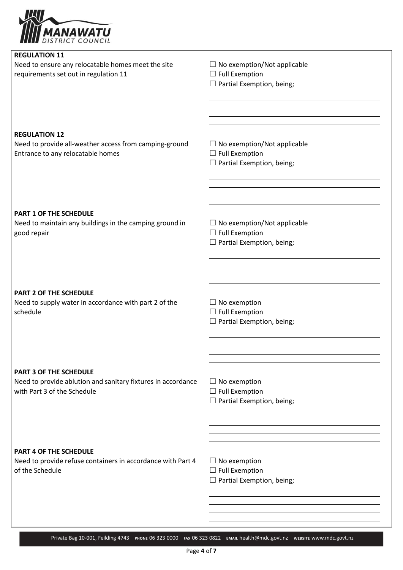

| <b>REGULATION 11</b>                                              |                                              |
|-------------------------------------------------------------------|----------------------------------------------|
| Need to ensure any relocatable homes meet the site                | $\Box$ No exemption/Not applicable           |
| requirements set out in regulation 11                             | $\Box$ Full Exemption                        |
|                                                                   | $\Box$ Partial Exemption, being;             |
|                                                                   |                                              |
|                                                                   |                                              |
|                                                                   |                                              |
|                                                                   |                                              |
| <b>REGULATION 12</b>                                              |                                              |
| Need to provide all-weather access from camping-ground            | $\Box$ No exemption/Not applicable           |
| Entrance to any relocatable homes                                 | $\Box$ Full Exemption                        |
|                                                                   | $\Box$ Partial Exemption, being;             |
|                                                                   |                                              |
|                                                                   |                                              |
|                                                                   |                                              |
|                                                                   |                                              |
| <b>PART 1 OF THE SCHEDULE</b>                                     |                                              |
| Need to maintain any buildings in the camping ground in           | $\Box$ No exemption/Not applicable           |
| good repair                                                       | $\Box$ Full Exemption                        |
|                                                                   | $\Box$ Partial Exemption, being;             |
|                                                                   |                                              |
|                                                                   |                                              |
|                                                                   |                                              |
|                                                                   |                                              |
| <b>PART 2 OF THE SCHEDULE</b>                                     |                                              |
|                                                                   |                                              |
| Need to supply water in accordance with part 2 of the<br>schedule | $\Box$ No exemption<br>$\Box$ Full Exemption |
|                                                                   | $\Box$ Partial Exemption, being;             |
|                                                                   |                                              |
|                                                                   |                                              |
|                                                                   |                                              |
|                                                                   |                                              |
|                                                                   |                                              |
| <b>PART 3 OF THE SCHEDULE</b>                                     |                                              |
| Need to provide ablution and sanitary fixtures in accordance      | $\Box$ No exemption                          |
| with Part 3 of the Schedule                                       | $\Box$ Full Exemption                        |
|                                                                   | $\Box$ Partial Exemption, being;             |
|                                                                   |                                              |
|                                                                   |                                              |
|                                                                   |                                              |
|                                                                   |                                              |
| <b>PART 4 OF THE SCHEDULE</b>                                     |                                              |
| Need to provide refuse containers in accordance with Part 4       | $\Box$ No exemption                          |
| of the Schedule                                                   | $\Box$ Full Exemption                        |
|                                                                   | $\Box$ Partial Exemption, being;             |
|                                                                   |                                              |
|                                                                   |                                              |
|                                                                   |                                              |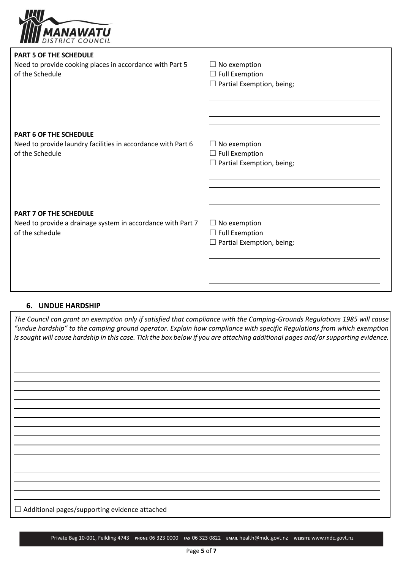

| <b>PART 5 OF THE SCHEDULE</b>                                |                                  |
|--------------------------------------------------------------|----------------------------------|
| Need to provide cooking places in accordance with Part 5     | $\Box$ No exemption              |
| of the Schedule                                              | $\Box$ Full Exemption            |
|                                                              | $\Box$ Partial Exemption, being; |
|                                                              |                                  |
|                                                              |                                  |
|                                                              |                                  |
|                                                              |                                  |
| <b>PART 6 OF THE SCHEDULE</b>                                |                                  |
| Need to provide laundry facilities in accordance with Part 6 | $\Box$ No exemption              |
| of the Schedule                                              | $\Box$ Full Exemption            |
|                                                              | $\Box$ Partial Exemption, being; |
|                                                              |                                  |
|                                                              |                                  |
|                                                              |                                  |
|                                                              |                                  |
| <b>PART 7 OF THE SCHEDULE</b>                                |                                  |
| Need to provide a drainage system in accordance with Part 7  | $\Box$ No exemption              |
| of the schedule                                              | $\Box$ Full Exemption            |
|                                                              | $\Box$ Partial Exemption, being; |
|                                                              |                                  |
|                                                              |                                  |
|                                                              |                                  |
|                                                              |                                  |

#### **6. UNDUE HARDSHIP**

*The Council can grant an exemption only if satisfied that compliance with the Camping-Grounds Regulations 1985 will cause "undue hardship" to the camping ground operator. Explain how compliance with specific Regulations from which exemption is sought will cause hardship in this case. Tick the box below if you are attaching additional pages and/or supporting evidence.*

| $\Box$ Additional pages/supporting evidence attached |
|------------------------------------------------------|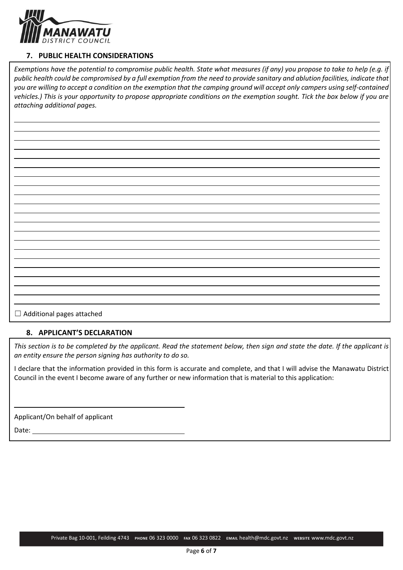

# **7. PUBLIC HEALTH CONSIDERATIONS**

*Exemptions have the potential to compromise public health. State what measures (if any) you propose to take to help (e.g. if public health could be compromised by a full exemption from the need to provide sanitary and ablution facilities, indicate that you are willing to accept a condition on the exemption that the camping ground will accept only campers using self-contained vehicles.) This is your opportunity to propose appropriate conditions on the exemption sought. Tick the box below if you are attaching additional pages.*

☐ Additional pages attached

# **8. APPLICANT'S DECLARATION**

*This section is to be completed by the applicant. Read the statement below, then sign and state the date. If the applicant is an entity ensure the person signing has authority to do so.*

I declare that the information provided in this form is accurate and complete, and that I will advise the Manawatu District Council in the event I become aware of any further or new information that is material to this application:

Applicant/On behalf of applicant

Date: